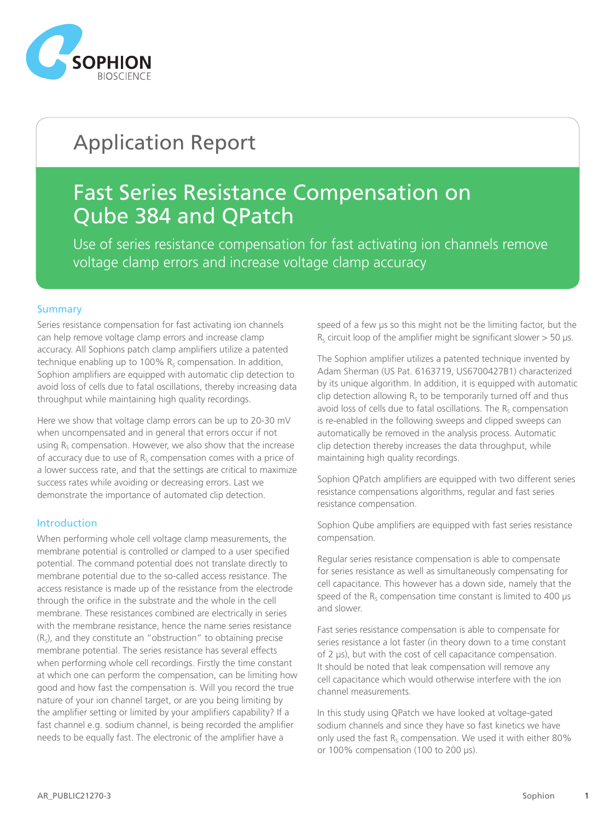

# Application Report

# Fast Series Resistance Compensation on Qube 384 and QPatch

Use of series resistance compensation for fast activating ion channels remove voltage clamp errors and increase voltage clamp accuracy

### **Summary**

Series resistance compensation for fast activating ion channels can help remove voltage clamp errors and increase clamp accuracy. All Sophions patch clamp amplifiers utilize a patented technique enabling up to 100%  $R_s$  compensation. In addition, Sophion amplifiers are equipped with automatic clip detection to avoid loss of cells due to fatal oscillations, thereby increasing data throughput while maintaining high quality recordings.

Here we show that voltage clamp errors can be up to 20-30 mV when uncompensated and in general that errors occur if not using  $R<sub>s</sub>$  compensation. However, we also show that the increase of accuracy due to use of  $R<sub>s</sub>$  compensation comes with a price of a lower success rate, and that the settings are critical to maximize success rates while avoiding or decreasing errors. Last we demonstrate the importance of automated clip detection.

# Introduction

When performing whole cell voltage clamp measurements, the membrane potential is controlled or clamped to a user specified potential. The command potential does not translate directly to membrane potential due to the so-called access resistance. The access resistance is made up of the resistance from the electrode through the orifice in the substrate and the whole in the cell membrane. These resistances combined are electrically in series with the membrane resistance, hence the name series resistance  $(R<sub>s</sub>)$ , and they constitute an "obstruction" to obtaining precise membrane potential. The series resistance has several effects when performing whole cell recordings. Firstly the time constant at which one can perform the compensation, can be limiting how good and how fast the compensation is. Will you record the true nature of your ion channel target, or are you being limiting by the amplifier setting or limited by your amplifiers capability? If a fast channel e.g. sodium channel, is being recorded the amplifier needs to be equally fast. The electronic of the amplifier have a

speed of a few  $\mu$ s so this might not be the limiting factor, but the  $R<sub>s</sub>$  circuit loop of the amplifier might be significant slower > 50 µs.

The Sophion amplifier utilizes a patented technique invented by Adam Sherman (US Pat. 6163719, US6700427B1) characterized by its unique algorithm. In addition, it is equipped with automatic clip detection allowing  $R_s$  to be temporarily turned off and thus avoid loss of cells due to fatal oscillations. The  $R_s$  compensation is re-enabled in the following sweeps and clipped sweeps can automatically be removed in the analysis process. Automatic clip detection thereby increases the data throughput, while maintaining high quality recordings.

Sophion QPatch amplifiers are equipped with two different series resistance compensations algorithms, regular and fast series resistance compensation.

Sophion Qube amplifiers are equipped with fast series resistance compensation.

Regular series resistance compensation is able to compensate for series resistance as well as simultaneously compensating for cell capacitance. This however has a down side, namely that the speed of the  $R_s$  compensation time constant is limited to 400  $\mu s$ and slower.

Fast series resistance compensation is able to compensate for series resistance a lot faster (in theory down to a time constant of 2 µs), but with the cost of cell capacitance compensation. It should be noted that leak compensation will remove any cell capacitance which would otherwise interfere with the ion channel measurements.

In this study using QPatch we have looked at voltage-gated sodium channels and since they have so fast kinetics we have only used the fast  $R_s$  compensation. We used it with either 80% or 100% compensation (100 to 200 µs).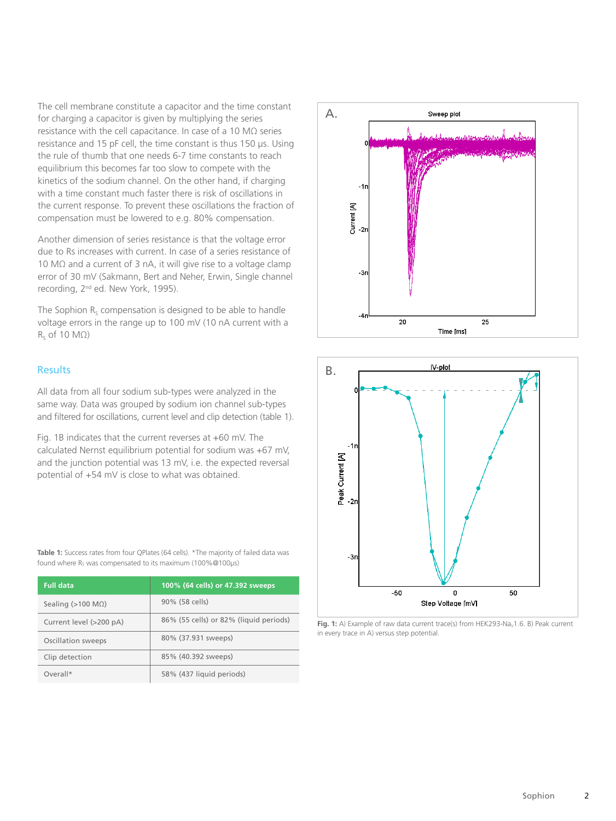The cell membrane constitute a capacitor and the time constant for charging a capacitor is given by multiplying the series resistance with the cell capacitance. In case of a 10 MΩ series resistance and 15 pF cell, the time constant is thus 150 µs. Using the rule of thumb that one needs 6-7 time constants to reach equilibrium this becomes far too slow to compete with the kinetics of the sodium channel. On the other hand, if charging with a time constant much faster there is risk of oscillations in the current response. To prevent these oscillations the fraction of compensation must be lowered to e.g. 80% compensation.

Another dimension of series resistance is that the voltage error due to Rs increases with current. In case of a series resistance of 10 MΩ and a current of 3 nA, it will give rise to a voltage clamp error of 30 mV (Sakmann, Bert and Neher, Erwin, Single channel recording, 2<sup>nd</sup> ed. New York, 1995).

The Sophion  $R_s$  compensation is designed to be able to handle voltage errors in the range up to 100 mV (10 nA current with a  $R_s$  of 10 M $\Omega$ )

### Results

All data from all four sodium sub-types were analyzed in the same way. Data was grouped by sodium ion channel sub-types and filtered for oscillations, current level and clip detection (table 1).

Fig. 1B indicates that the current reverses at +60 mV. The calculated Nernst equilibrium potential for sodium was +67 mV, and the junction potential was 13 mV, i.e. the expected reversal potential of +54 mV is close to what was obtained.

Table 1: Success rates from four QPlates (64 cells). \*The majority of failed data was found where R<sub>s</sub> was compensated to its maximum (100%@100µs)

| <b>Full data</b>              | 100% (64 cells) or 47.392 sweeps       |
|-------------------------------|----------------------------------------|
| Sealing ( $>100$ M $\Omega$ ) | 90% (58 cells)                         |
| Current level (>200 pA)       | 86% (55 cells) or 82% (liquid periods) |
| Oscillation sweeps            | 80% (37.931 sweeps)                    |
| Clip detection                | 85% (40.392 sweeps)                    |
| Overall*                      | 58% (437 liquid periods)               |





Fig. 1: A) Example of raw data current trace(s) from HEK293-Na<sub>v</sub>1.6. B) Peak current in every trace in A) versus step potential.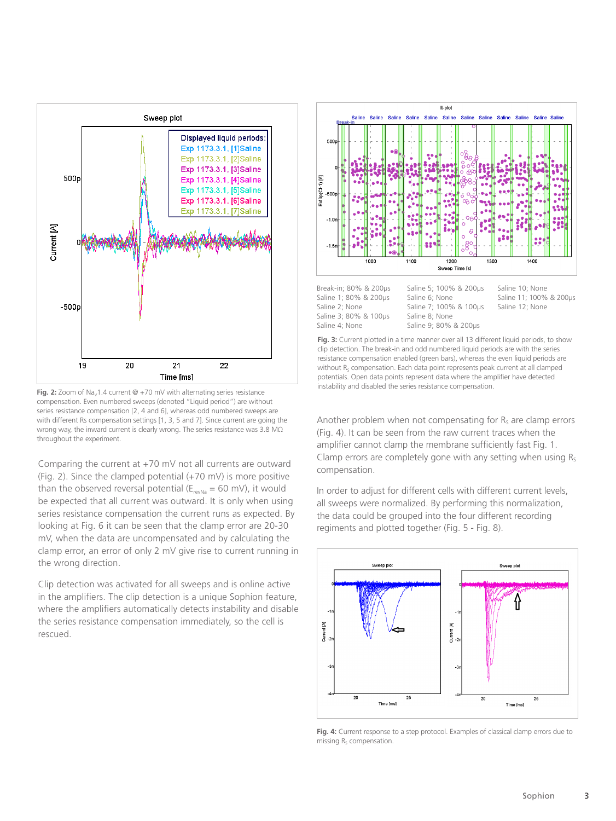

Fig. 2: Zoom of Na<sub>v</sub>1.4 current @ +70 mV with alternating series resistance compensation. Even numbered sweeps (denoted "Liquid period") are without series resistance compensation [2, 4 and 6], whereas odd numbered sweeps are with different Rs compensation settings [1, 3, 5 and 7]. Since current are going the wrong way, the inward current is clearly wrong. The series resistance was 3.8 MΩ throughout the experiment.

Comparing the current at +70 mV not all currents are outward (Fig. 2). Since the clamped potential (+70 mV) is more positive than the observed reversal potential ( $E_{revNa} = 60$  mV), it would be expected that all current was outward. It is only when using series resistance compensation the current runs as expected. By looking at Fig. 6 it can be seen that the clamp error are 20-30 mV, when the data are uncompensated and by calculating the clamp error, an error of only 2 mV give rise to current running in the wrong direction.

Clip detection was activated for all sweeps and is online active in the amplifiers. The clip detection is a unique Sophion feature, where the amplifiers automatically detects instability and disable the series resistance compensation immediately, so the cell is rescued.



Saline 1; 80% & 200µs Saline 2; None Saline 3; 80% & 100µs Saline 4; None

Saline 5; 100% & 200µs Saline 6; None Saline 7; 100% & 100µs Saline 8; None Saline 9; 80% & 200µs

Saline 10; None Saline 11; 100% & 200µs Saline 12; None

**Fig. 3:** Current plotted in a time manner over all 13 different liquid periods, to show clip detection. The break-in and odd numbered liquid periods are with the series resistance compensation enabled (green bars), whereas the even liquid periods are without  $R_s$  compensation. Each data point represents peak current at all clamped potentials. Open data points represent data where the amplifier have detected instability and disabled the series resistance compensation.

Another problem when not compensating for  $R<sub>s</sub>$  are clamp errors (Fig. 4). It can be seen from the raw current traces when the amplifier cannot clamp the membrane sufficiently fast Fig. 1. Clamp errors are completely gone with any setting when using  $R_s$ compensation.

In order to adjust for different cells with different current levels, all sweeps were normalized. By performing this normalization, the data could be grouped into the four different recording regiments and plotted together (Fig. 5 - Fig. 8).



Fig. 4: Current response to a step protocol. Examples of classical clamp errors due to missing  $R<sub>s</sub>$  compensation.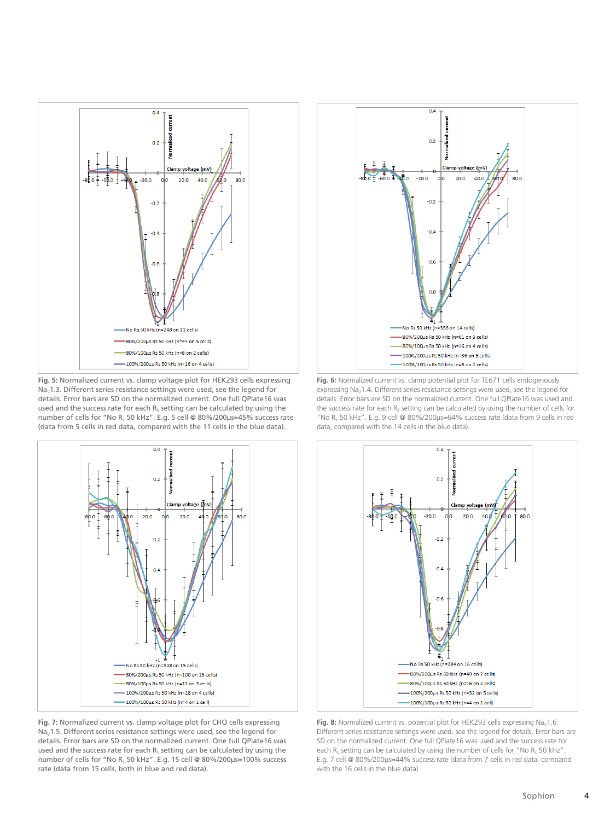

**Fig. 5:** Normalized current vs. clamp voltage plot for HEK293 cells expressing  $\text{Na}_{\text{V}}$ 1.3. Different series resistance settings were used, see the legend for details. Error bars are SD on the normalized current. One full QPlate16 was used and the success rate for each  $R_s$  setting can be calculated by using the number of cells for "No R<sub>S</sub> 50 kHz". E.g. 5 cell @ 80%/200µs=45% success rate (data from 5 cells in red data, compared with the 11 cells in the blue data).



**Fig. 7:** Normalized current vs. clamp voltage plot for CHO cells expressing  $Na<sub>v</sub>1.5$ . Different series resistance settings were used, see the legend for details. Error bars are SD on the normalized current. One full QPlate16 was used and the success rate for each  $R<sub>s</sub>$  setting can be calculated by using the number of cells for "No R<sub>S</sub> 50 kHz". E.g. 15 cell @ 80%/200 $\mu$ s=100% success rate (data from 15 cells, both in blue and red data).



**Fig. 6:** Normalized current vs. clamp potential plot for TE671 cells endogenously expressing  $Na<sub>v</sub>1.4$ . Different series resistance settings were used, see the legend for details. Error bars are SD on the normalized current. One full QPlate16 was used and the success rate for each  $R_S$  setting can be calculated by using the number of cells for "No R<sub>s</sub> 50 kHz". E.g. 9 cell @ 80%/200µs=64% success rate (data from 9 cells in red data, compared with the 14 cells in the blue data).



Fig. 8: Normalized current vs. potential plot for HEK293 cells expressing Na<sub>v</sub>1.6. Different series resistance settings were used, see the legend for details. Error bars are SD on the normalized current. One full QPlate16 was used and the success rate for each  $R_S$  setting can be calculated by using the number of cells for "No  $R_S$  50 kHz". E.g. 7 cell @ 80%/200µs=44% success rate (data from 7 cells in red data, compared with the 16 cells in the blue data).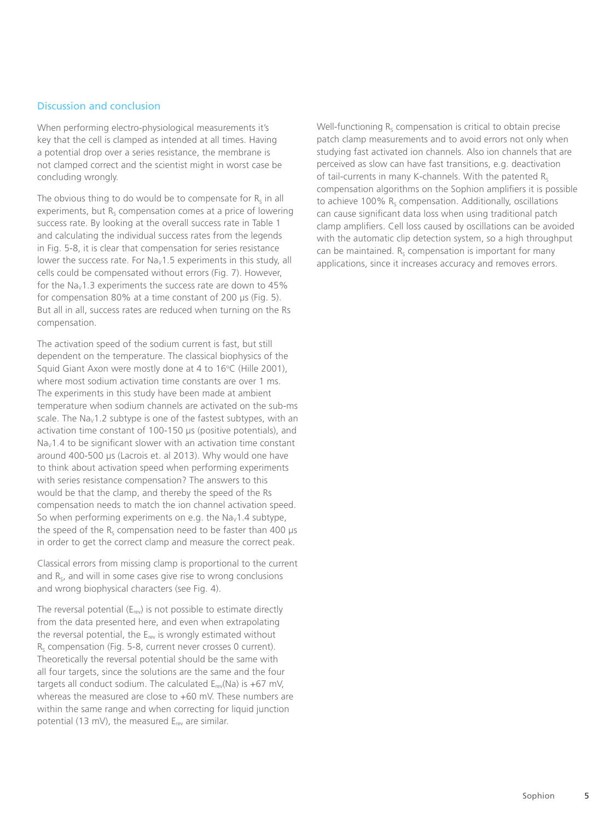# Discussion and conclusion

When performing electro-physiological measurements it's key that the cell is clamped as intended at all times. Having a potential drop over a series resistance, the membrane is not clamped correct and the scientist might in worst case be concluding wrongly.

The obvious thing to do would be to compensate for  $R_s$  in all experiments, but  $R_s$  compensation comes at a price of lowering success rate. By looking at the overall success rate in Table 1 and calculating the individual success rates from the legends in Fig. 5-8, it is clear that compensation for series resistance lower the success rate. For  $\text{Na}_{\text{V}}1.5$  experiments in this study, all cells could be compensated without errors (Fig. 7). However, for the Na<sub>v</sub>1.3 experiments the success rate are down to 45% for compensation 80% at a time constant of 200 µs (Fig. 5). But all in all, success rates are reduced when turning on the Rs compensation.

The activation speed of the sodium current is fast, but still dependent on the temperature. The classical biophysics of the Squid Giant Axon were mostly done at 4 to 16°C (Hille 2001), where most sodium activation time constants are over 1 ms. The experiments in this study have been made at ambient temperature when sodium channels are activated on the sub-ms scale. The  $Na<sub>v</sub>1.2$  subtype is one of the fastest subtypes, with an activation time constant of 100-150 µs (positive potentials), and  $Na<sub>v</sub>1.4$  to be significant slower with an activation time constant around 400-500 µs (Lacrois et. al 2013). Why would one have to think about activation speed when performing experiments with series resistance compensation? The answers to this would be that the clamp, and thereby the speed of the Rs compensation needs to match the ion channel activation speed. So when performing experiments on e.g. the Na<sub>v</sub>1.4 subtype, the speed of the  $R_s$  compensation need to be faster than 400  $\mu s$ in order to get the correct clamp and measure the correct peak.

Classical errors from missing clamp is proportional to the current and  $R<sub>s</sub>$ , and will in some cases give rise to wrong conclusions and wrong biophysical characters (see Fig. 4).

The reversal potential  $(E_{rev})$  is not possible to estimate directly from the data presented here, and even when extrapolating the reversal potential, the  $E_{rev}$  is wrongly estimated without  $R<sub>s</sub>$  compensation (Fig. 5-8, current never crosses 0 current). Theoretically the reversal potential should be the same with all four targets, since the solutions are the same and the four targets all conduct sodium. The calculated  $E_{rev}(Na)$  is +67 mV, whereas the measured are close to +60 mV. These numbers are within the same range and when correcting for liquid junction potential (13 mV), the measured  $E_{rev}$  are similar.

Well-functioning  $R_S$  compensation is critical to obtain precise patch clamp measurements and to avoid errors not only when studying fast activated ion channels. Also ion channels that are perceived as slow can have fast transitions, e.g. deactivation of tail-currents in many K-channels. With the patented  $R_s$ compensation algorithms on the Sophion amplifiers it is possible to achieve 100%  $R_s$  compensation. Additionally, oscillations can cause significant data loss when using traditional patch clamp amplifiers. Cell loss caused by oscillations can be avoided with the automatic clip detection system, so a high throughput can be maintained.  $R_s$  compensation is important for many applications, since it increases accuracy and removes errors.